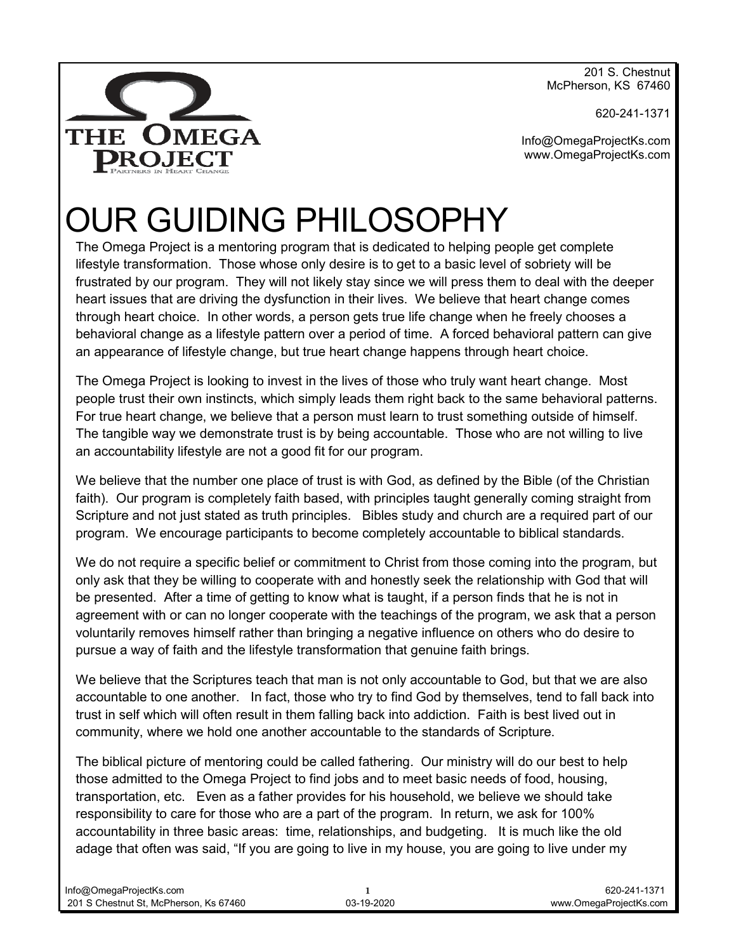201 S. Chestnut McPherson, KS 67460

620-241-1371

THE OMEGA **DROJECT** 

Info@OmegaProjectKs.com www.OmegaProjectKs.com

# OUR GUIDING PHILOSOPHY

The Omega Project is a mentoring program that is dedicated to helping people get complete lifestyle transformation. Those whose only desire is to get to a basic level of sobriety will be frustrated by our program. They will not likely stay since we will press them to deal with the deeper heart issues that are driving the dysfunction in their lives. We believe that heart change comes through heart choice. In other words, a person gets true life change when he freely chooses a behavioral change as a lifestyle pattern over a period of time. A forced behavioral pattern can give an appearance of lifestyle change, but true heart change happens through heart choice.

The Omega Project is looking to invest in the lives of those who truly want heart change. Most people trust their own instincts, which simply leads them right back to the same behavioral patterns. For true heart change, we believe that a person must learn to trust something outside of himself. The tangible way we demonstrate trust is by being accountable. Those who are not willing to live an accountability lifestyle are not a good fit for our program.

We believe that the number one place of trust is with God, as defined by the Bible (of the Christian faith). Our program is completely faith based, with principles taught generally coming straight from Scripture and not just stated as truth principles. Bibles study and church are a required part of our program. We encourage participants to become completely accountable to biblical standards.

We do not require a specific belief or commitment to Christ from those coming into the program, but only ask that they be willing to cooperate with and honestly seek the relationship with God that will be presented. After a time of getting to know what is taught, if a person finds that he is not in agreement with or can no longer cooperate with the teachings of the program, we ask that a person voluntarily removes himself rather than bringing a negative influence on others who do desire to pursue a way of faith and the lifestyle transformation that genuine faith brings.

We believe that the Scriptures teach that man is not only accountable to God, but that we are also accountable to one another. In fact, those who try to find God by themselves, tend to fall back into trust in self which will often result in them falling back into addiction. Faith is best lived out in community, where we hold one another accountable to the standards of Scripture.

The biblical picture of mentoring could be called fathering. Our ministry will do our best to help those admitted to the Omega Project to find jobs and to meet basic needs of food, housing, transportation, etc. Even as a father provides for his household, we believe we should take responsibility to care for those who are a part of the program. In return, we ask for 100% accountability in three basic areas: time, relationships, and budgeting. It is much like the old adage that often was said, "If you are going to live in my house, you are going to live under my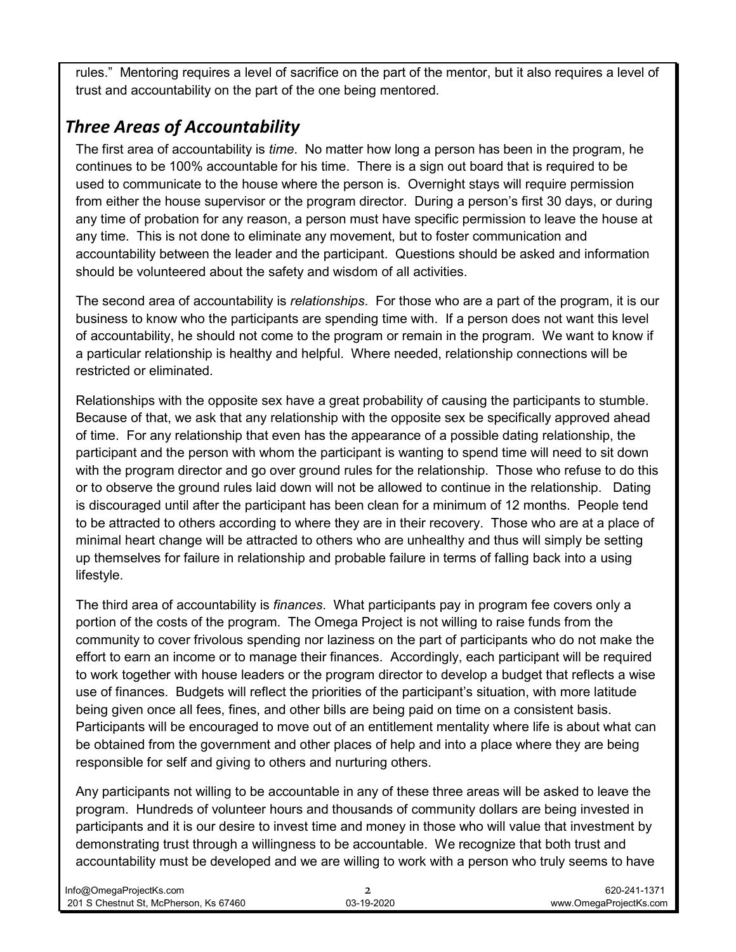rules." Mentoring requires a level of sacrifice on the part of the mentor, but it also requires a level of trust and accountability on the part of the one being mentored.

### *Three Areas of Accountability*

The first area of accountability is *time*. No matter how long a person has been in the program, he continues to be 100% accountable for his time. There is a sign out board that is required to be used to communicate to the house where the person is. Overnight stays will require permission from either the house supervisor or the program director. During a person's first 30 days, or during any time of probation for any reason, a person must have specific permission to leave the house at any time. This is not done to eliminate any movement, but to foster communication and accountability between the leader and the participant. Questions should be asked and information should be volunteered about the safety and wisdom of all activities.

The second area of accountability is *relationships*. For those who are a part of the program, it is our business to know who the participants are spending time with. If a person does not want this level of accountability, he should not come to the program or remain in the program. We want to know if a particular relationship is healthy and helpful. Where needed, relationship connections will be restricted or eliminated.

Relationships with the opposite sex have a great probability of causing the participants to stumble. Because of that, we ask that any relationship with the opposite sex be specifically approved ahead of time. For any relationship that even has the appearance of a possible dating relationship, the participant and the person with whom the participant is wanting to spend time will need to sit down with the program director and go over ground rules for the relationship. Those who refuse to do this or to observe the ground rules laid down will not be allowed to continue in the relationship. Dating is discouraged until after the participant has been clean for a minimum of 12 months. People tend to be attracted to others according to where they are in their recovery. Those who are at a place of minimal heart change will be attracted to others who are unhealthy and thus will simply be setting up themselves for failure in relationship and probable failure in terms of falling back into a using lifestyle.

The third area of accountability is *finances*. What participants pay in program fee covers only a portion of the costs of the program. The Omega Project is not willing to raise funds from the community to cover frivolous spending nor laziness on the part of participants who do not make the effort to earn an income or to manage their finances. Accordingly, each participant will be required to work together with house leaders or the program director to develop a budget that reflects a wise use of finances. Budgets will reflect the priorities of the participant's situation, with more latitude being given once all fees, fines, and other bills are being paid on time on a consistent basis. Participants will be encouraged to move out of an entitlement mentality where life is about what can be obtained from the government and other places of help and into a place where they are being responsible for self and giving to others and nurturing others.

Any participants not willing to be accountable in any of these three areas will be asked to leave the program. Hundreds of volunteer hours and thousands of community dollars are being invested in participants and it is our desire to invest time and money in those who will value that investment by demonstrating trust through a willingness to be accountable. We recognize that both trust and accountability must be developed and we are willing to work with a person who truly seems to have

| Info@OmegaProjectKs.com                |            | 620-241-1371           |
|----------------------------------------|------------|------------------------|
| 201 S Chestnut St. McPherson. Ks 67460 | 03-19-2020 | www.OmegaProiectKs.com |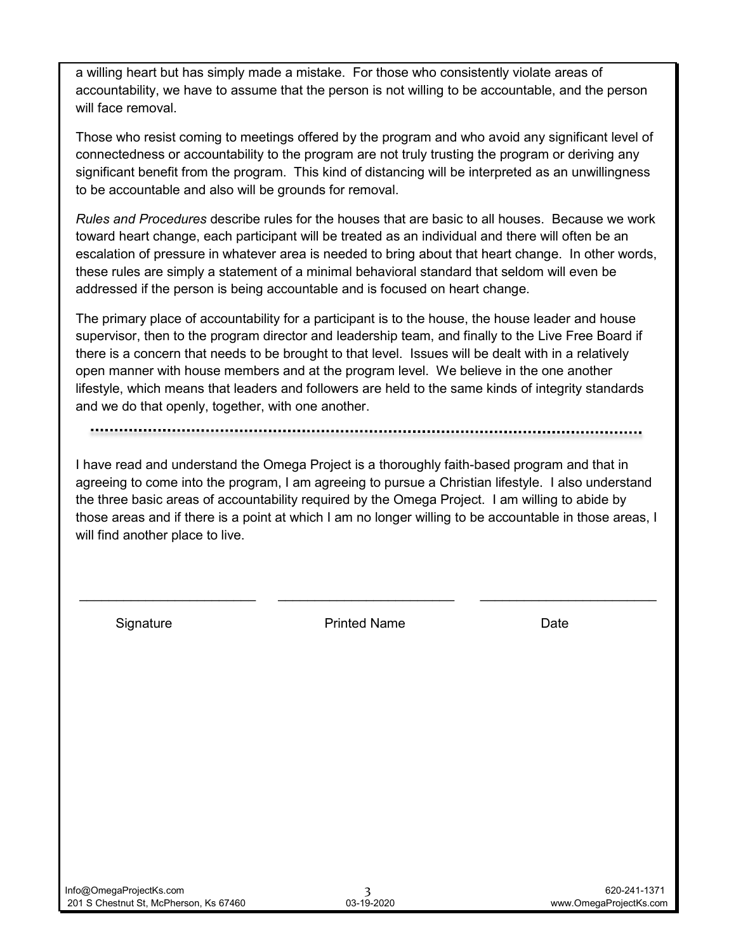a willing heart but has simply made a mistake. For those who consistently violate areas of accountability, we have to assume that the person is not willing to be accountable, and the person will face removal.

Those who resist coming to meetings offered by the program and who avoid any significant level of connectedness or accountability to the program are not truly trusting the program or deriving any significant benefit from the program. This kind of distancing will be interpreted as an unwillingness to be accountable and also will be grounds for removal.

*Rules and Procedures* describe rules for the houses that are basic to all houses. Because we work toward heart change, each participant will be treated as an individual and there will often be an escalation of pressure in whatever area is needed to bring about that heart change. In other words, these rules are simply a statement of a minimal behavioral standard that seldom will even be addressed if the person is being accountable and is focused on heart change.

The primary place of accountability for a participant is to the house, the house leader and house supervisor, then to the program director and leadership team, and finally to the Live Free Board if there is a concern that needs to be brought to that level. Issues will be dealt with in a relatively open manner with house members and at the program level. We believe in the one another lifestyle, which means that leaders and followers are held to the same kinds of integrity standards and we do that openly, together, with one another.

I have read and understand the Omega Project is a thoroughly faith-based program and that in agreeing to come into the program, I am agreeing to pursue a Christian lifestyle. I also understand the three basic areas of accountability required by the Omega Project. I am willing to abide by those areas and if there is a point at which I am no longer willing to be accountable in those areas, I will find another place to live.

Signature **Printed Name** Printed Name **Date** 

\_\_\_\_\_\_\_\_\_\_\_\_\_\_\_\_\_\_\_\_\_\_\_\_ \_\_\_\_\_\_\_\_\_\_\_\_\_\_\_\_\_\_\_\_\_\_\_\_ \_\_\_\_\_\_\_\_\_\_\_\_\_\_\_\_\_\_\_\_\_\_\_\_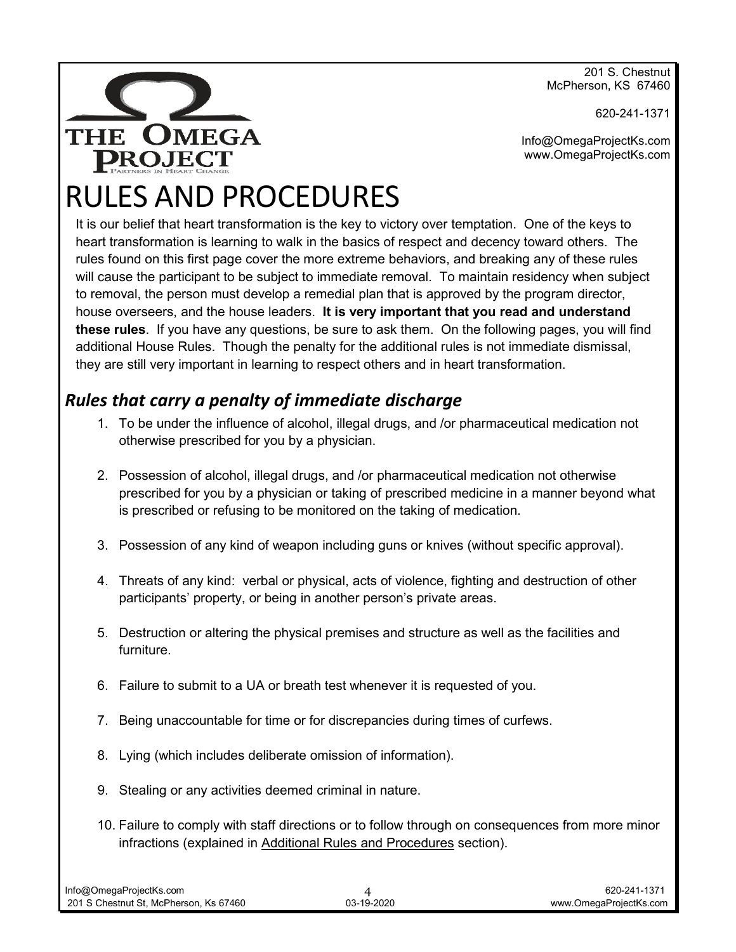201 S. Chestnut McPherson, KS 67460



620-241-1371

Info@OmegaProjectKs.com www.OmegaProjectKs.com

# RULES AND PROCEDURES

It is our belief that heart transformation is the key to victory over temptation. One of the keys to heart transformation is learning to walk in the basics of respect and decency toward others. The rules found on this first page cover the more extreme behaviors, and breaking any of these rules will cause the participant to be subject to immediate removal. To maintain residency when subject to removal, the person must develop a remedial plan that is approved by the program director, house overseers, and the house leaders. **It is very important that you read and understand these rules**. If you have any questions, be sure to ask them. On the following pages, you will find additional House Rules. Though the penalty for the additional rules is not immediate dismissal, they are still very important in learning to respect others and in heart transformation.

#### *Rules that carry a penalty of immediate discharge*

- 1. To be under the influence of alcohol, illegal drugs, and /or pharmaceutical medication not otherwise prescribed for you by a physician.
- 2. Possession of alcohol, illegal drugs, and /or pharmaceutical medication not otherwise prescribed for you by a physician or taking of prescribed medicine in a manner beyond what is prescribed or refusing to be monitored on the taking of medication.
- 3. Possession of any kind of weapon including guns or knives (without specific approval).
- 4. Threats of any kind: verbal or physical, acts of violence, fighting and destruction of other participants' property, or being in another person's private areas.
- 5. Destruction or altering the physical premises and structure as well as the facilities and furniture.
- 6. Failure to submit to a UA or breath test whenever it is requested of you.
- 7. Being unaccountable for time or for discrepancies during times of curfews.
- 8. Lying (which includes deliberate omission of information).
- 9. Stealing or any activities deemed criminal in nature.
- 10. Failure to comply with staff directions or to follow through on consequences from more minor infractions (explained in Additional Rules and Procedures section).

| Info@OmegaProjectKs.com                |            | 620-241-1371           |
|----------------------------------------|------------|------------------------|
| 201 S Chestnut St. McPherson. Ks 67460 | 03-19-2020 | www.OmegaProjectKs.com |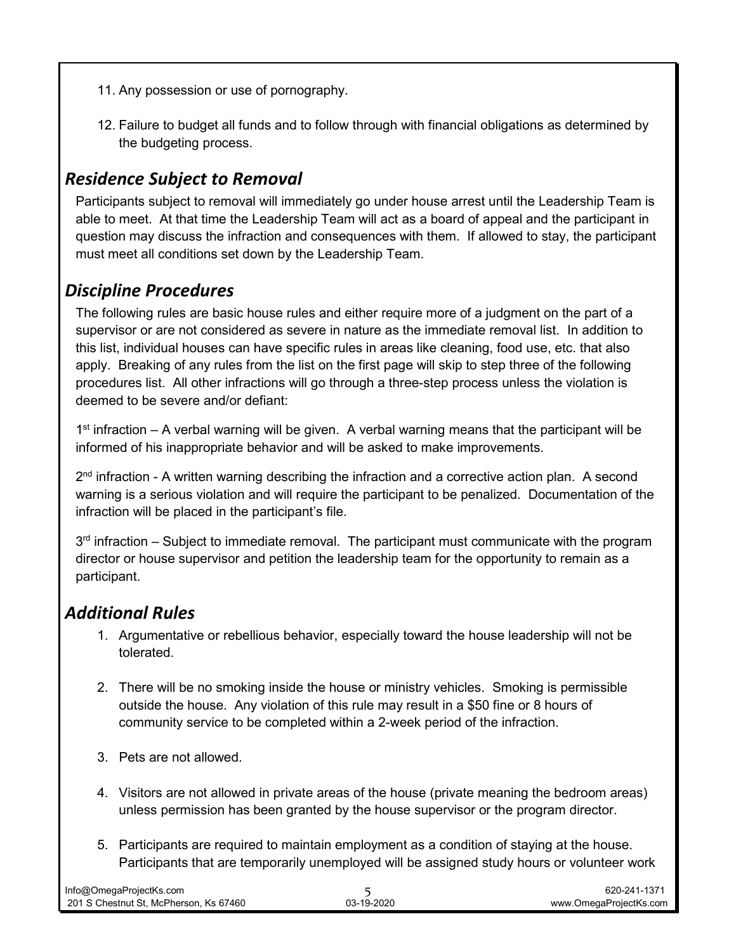- 11. Any possession or use of pornography.
- 12. Failure to budget all funds and to follow through with financial obligations as determined by the budgeting process.

#### *Residence Subject to Removal*

Participants subject to removal will immediately go under house arrest until the Leadership Team is able to meet. At that time the Leadership Team will act as a board of appeal and the participant in question may discuss the infraction and consequences with them. If allowed to stay, the participant must meet all conditions set down by the Leadership Team.

#### *Discipline Procedures*

The following rules are basic house rules and either require more of a judgment on the part of a supervisor or are not considered as severe in nature as the immediate removal list. In addition to this list, individual houses can have specific rules in areas like cleaning, food use, etc. that also apply. Breaking of any rules from the list on the first page will skip to step three of the following procedures list. All other infractions will go through a three-step process unless the violation is deemed to be severe and/or defiant:

 $1<sup>st</sup>$  infraction – A verbal warning will be given. A verbal warning means that the participant will be informed of his inappropriate behavior and will be asked to make improvements.

 $2<sup>nd</sup>$  infraction - A written warning describing the infraction and a corrective action plan. A second warning is a serious violation and will require the participant to be penalized. Documentation of the infraction will be placed in the participant's file.

 $3<sup>rd</sup>$  infraction – Subject to immediate removal. The participant must communicate with the program director or house supervisor and petition the leadership team for the opportunity to remain as a participant.

#### *Additional Rules*

- 1. Argumentative or rebellious behavior, especially toward the house leadership will not be tolerated.
- 2. There will be no smoking inside the house or ministry vehicles. Smoking is permissible outside the house. Any violation of this rule may result in a \$50 fine or 8 hours of community service to be completed within a 2-week period of the infraction.
- 3. Pets are not allowed.
- 4. Visitors are not allowed in private areas of the house (private meaning the bedroom areas) unless permission has been granted by the house supervisor or the program director.
- 5. Participants are required to maintain employment as a condition of staying at the house. Participants that are temporarily unemployed will be assigned study hours or volunteer work

| Info@OmegaProjectKs.com                |            | 620-241-1371           |
|----------------------------------------|------------|------------------------|
| 201 S Chestnut St. McPherson. Ks 67460 | 03-19-2020 | www.OmegaProjectKs.com |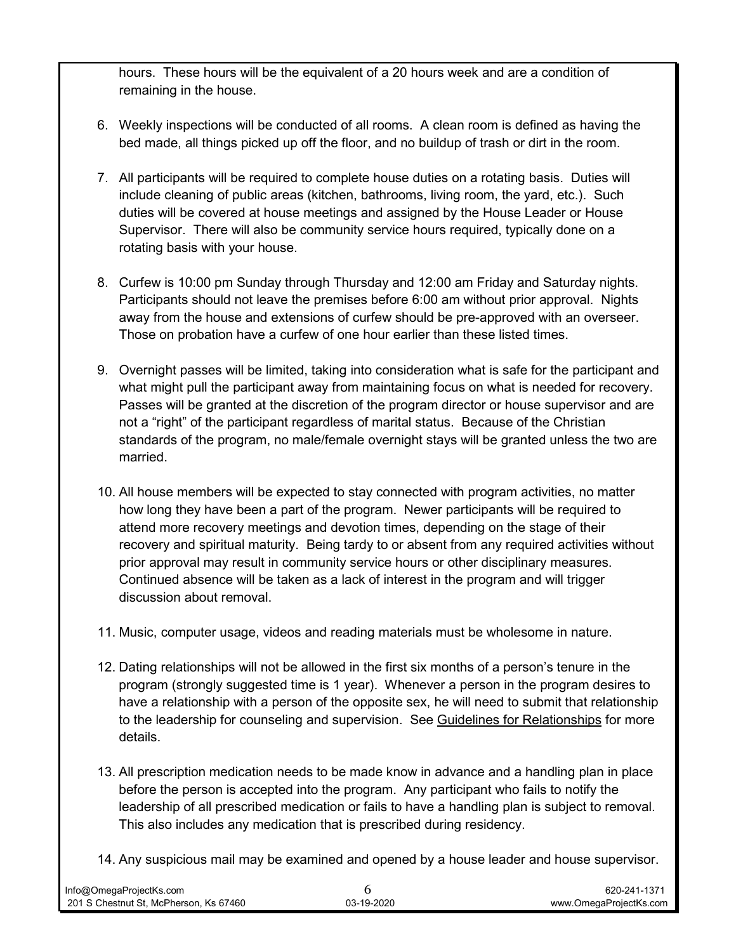hours. These hours will be the equivalent of a 20 hours week and are a condition of remaining in the house.

- 6. Weekly inspections will be conducted of all rooms. A clean room is defined as having the bed made, all things picked up off the floor, and no buildup of trash or dirt in the room.
- 7. All participants will be required to complete house duties on a rotating basis. Duties will include cleaning of public areas (kitchen, bathrooms, living room, the yard, etc.). Such duties will be covered at house meetings and assigned by the House Leader or House Supervisor. There will also be community service hours required, typically done on a rotating basis with your house.
- 8. Curfew is 10:00 pm Sunday through Thursday and 12:00 am Friday and Saturday nights. Participants should not leave the premises before 6:00 am without prior approval. Nights away from the house and extensions of curfew should be pre-approved with an overseer. Those on probation have a curfew of one hour earlier than these listed times.
- 9. Overnight passes will be limited, taking into consideration what is safe for the participant and what might pull the participant away from maintaining focus on what is needed for recovery. Passes will be granted at the discretion of the program director or house supervisor and are not a "right" of the participant regardless of marital status. Because of the Christian standards of the program, no male/female overnight stays will be granted unless the two are married.
- 10. All house members will be expected to stay connected with program activities, no matter how long they have been a part of the program. Newer participants will be required to attend more recovery meetings and devotion times, depending on the stage of their recovery and spiritual maturity. Being tardy to or absent from any required activities without prior approval may result in community service hours or other disciplinary measures. Continued absence will be taken as a lack of interest in the program and will trigger discussion about removal.
- 11. Music, computer usage, videos and reading materials must be wholesome in nature.
- 12. Dating relationships will not be allowed in the first six months of a person's tenure in the program (strongly suggested time is 1 year). Whenever a person in the program desires to have a relationship with a person of the opposite sex, he will need to submit that relationship to the leadership for counseling and supervision. See Guidelines for Relationships for more details.
- 13. All prescription medication needs to be made know in advance and a handling plan in place before the person is accepted into the program. Any participant who fails to notify the leadership of all prescribed medication or fails to have a handling plan is subject to removal. This also includes any medication that is prescribed during residency.
- 14. Any suspicious mail may be examined and opened by a house leader and house supervisor.

| Info@OmegaProjectKs.com                |            | 620-241-1371           |
|----------------------------------------|------------|------------------------|
| 201 S Chestnut St. McPherson. Ks 67460 | 03-19-2020 | www.OmegaProjectKs.com |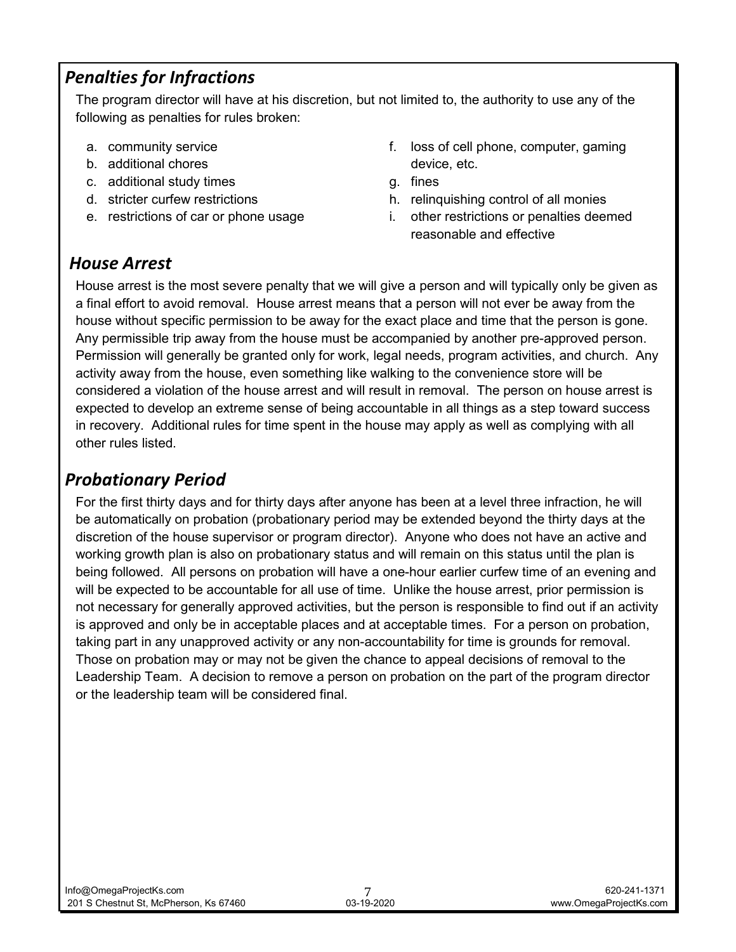#### *Penalties for Infractions*

The program director will have at his discretion, but not limited to, the authority to use any of the following as penalties for rules broken:

- a. community service
- b. additional chores
- c. additional study times
- d. stricter curfew restrictions
- e. restrictions of car or phone usage
- f. loss of cell phone, computer, gaming device, etc.
- g. fines
- h. relinquishing control of all monies
- i. other restrictions or penalties deemed reasonable and effective

#### *House Arrest*

House arrest is the most severe penalty that we will give a person and will typically only be given as a final effort to avoid removal. House arrest means that a person will not ever be away from the house without specific permission to be away for the exact place and time that the person is gone. Any permissible trip away from the house must be accompanied by another pre-approved person. Permission will generally be granted only for work, legal needs, program activities, and church. Any activity away from the house, even something like walking to the convenience store will be considered a violation of the house arrest and will result in removal. The person on house arrest is expected to develop an extreme sense of being accountable in all things as a step toward success in recovery. Additional rules for time spent in the house may apply as well as complying with all other rules listed.

#### *Probationary Period*

For the first thirty days and for thirty days after anyone has been at a level three infraction, he will be automatically on probation (probationary period may be extended beyond the thirty days at the discretion of the house supervisor or program director). Anyone who does not have an active and working growth plan is also on probationary status and will remain on this status until the plan is being followed. All persons on probation will have a one-hour earlier curfew time of an evening and will be expected to be accountable for all use of time. Unlike the house arrest, prior permission is not necessary for generally approved activities, but the person is responsible to find out if an activity is approved and only be in acceptable places and at acceptable times. For a person on probation, taking part in any unapproved activity or any non-accountability for time is grounds for removal. Those on probation may or may not be given the chance to appeal decisions of removal to the Leadership Team. A decision to remove a person on probation on the part of the program director or the leadership team will be considered final.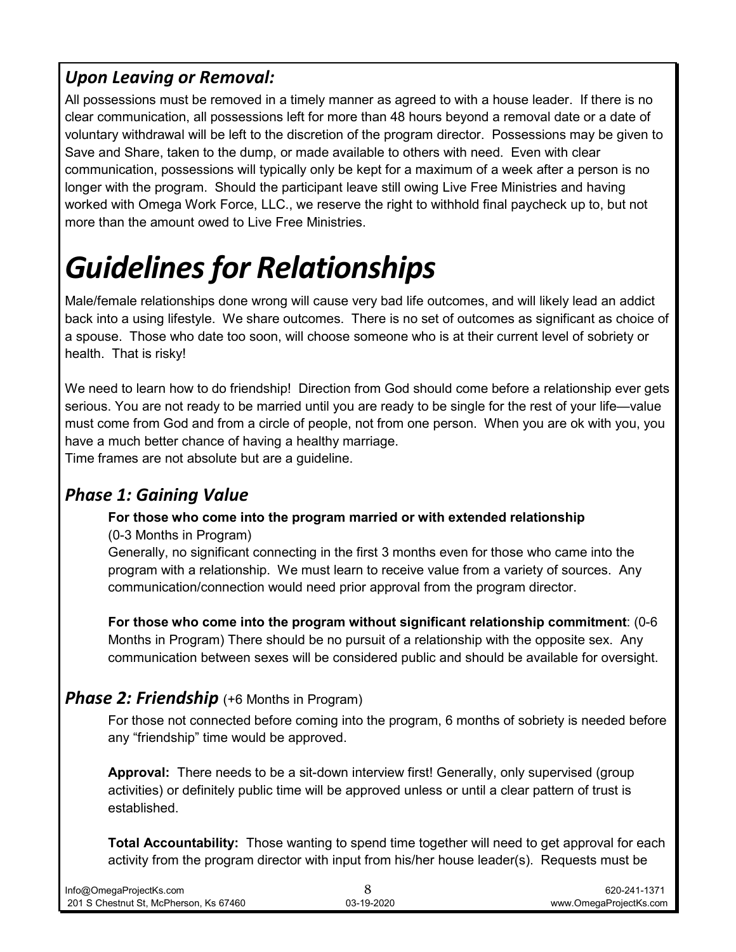#### *Upon Leaving or Removal:*

All possessions must be removed in a timely manner as agreed to with a house leader. If there is no clear communication, all possessions left for more than 48 hours beyond a removal date or a date of voluntary withdrawal will be left to the discretion of the program director. Possessions may be given to Save and Share, taken to the dump, or made available to others with need. Even with clear communication, possessions will typically only be kept for a maximum of a week after a person is no longer with the program. Should the participant leave still owing Live Free Ministries and having worked with Omega Work Force, LLC., we reserve the right to withhold final paycheck up to, but not more than the amount owed to Live Free Ministries.

# *Guidelines for Relationships*

Male/female relationships done wrong will cause very bad life outcomes, and will likely lead an addict back into a using lifestyle. We share outcomes. There is no set of outcomes as significant as choice of a spouse. Those who date too soon, will choose someone who is at their current level of sobriety or health. That is risky!

We need to learn how to do friendship! Direction from God should come before a relationship ever gets serious. You are not ready to be married until you are ready to be single for the rest of your life—value must come from God and from a circle of people, not from one person. When you are ok with you, you have a much better chance of having a healthy marriage.

Time frames are not absolute but are a guideline.

#### *Phase 1: Gaining Value*

#### **For those who come into the program married or with extended relationship**

(0-3 Months in Program)

Generally, no significant connecting in the first 3 months even for those who came into the program with a relationship. We must learn to receive value from a variety of sources. Any communication/connection would need prior approval from the program director.

**For those who come into the program without significant relationship commitment**: (0-6 Months in Program) There should be no pursuit of a relationship with the opposite sex. Any communication between sexes will be considered public and should be available for oversight.

#### **Phase 2: Friendship** (+6 Months in Program)

For those not connected before coming into the program, 6 months of sobriety is needed before any "friendship" time would be approved.

**Approval:** There needs to be a sit-down interview first! Generally, only supervised (group activities) or definitely public time will be approved unless or until a clear pattern of trust is established.

**Total Accountability:** Those wanting to spend time together will need to get approval for each activity from the program director with input from his/her house leader(s). Requests must be

| Info@OmegaProjectKs.com                |            | 620-241-1371           |
|----------------------------------------|------------|------------------------|
| 201 S Chestnut St. McPherson. Ks 67460 | 03-19-2020 | www.OmegaProiectKs.com |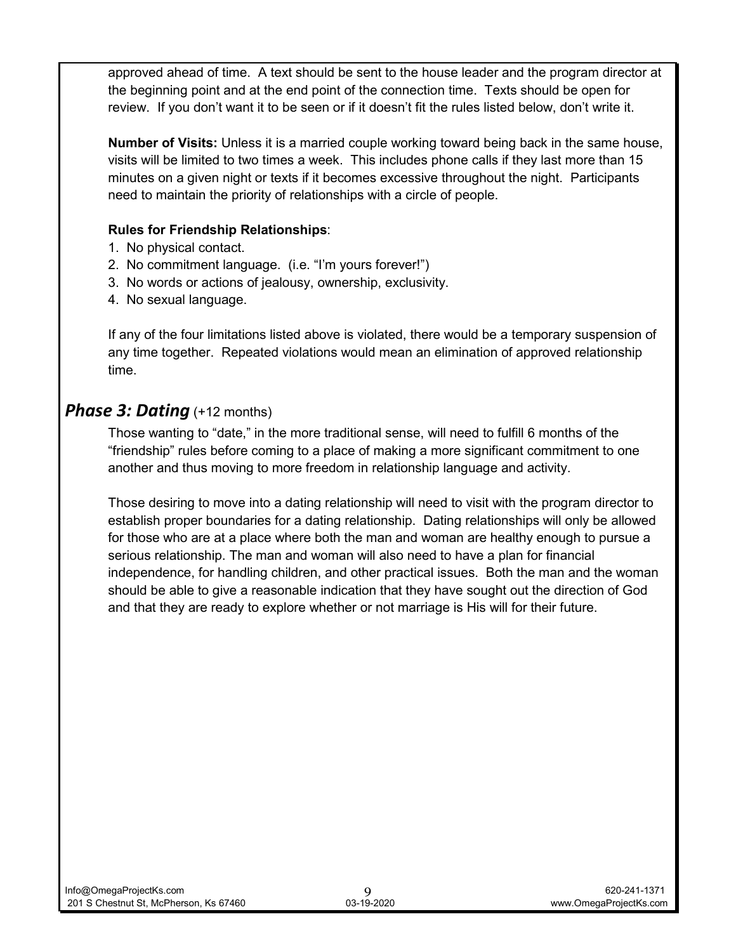approved ahead of time. A text should be sent to the house leader and the program director at the beginning point and at the end point of the connection time. Texts should be open for review. If you don't want it to be seen or if it doesn't fit the rules listed below, don't write it.

**Number of Visits:** Unless it is a married couple working toward being back in the same house, visits will be limited to two times a week. This includes phone calls if they last more than 15 minutes on a given night or texts if it becomes excessive throughout the night. Participants need to maintain the priority of relationships with a circle of people.

#### **Rules for Friendship Relationships**:

- 1. No physical contact.
- 2. No commitment language. (i.e. "I'm yours forever!")
- 3. No words or actions of jealousy, ownership, exclusivity.
- 4. No sexual language.

If any of the four limitations listed above is violated, there would be a temporary suspension of any time together. Repeated violations would mean an elimination of approved relationship time.

#### *Phase 3: Dating* (+12 months)

Those wanting to "date," in the more traditional sense, will need to fulfill 6 months of the "friendship" rules before coming to a place of making a more significant commitment to one another and thus moving to more freedom in relationship language and activity.

Those desiring to move into a dating relationship will need to visit with the program director to establish proper boundaries for a dating relationship. Dating relationships will only be allowed for those who are at a place where both the man and woman are healthy enough to pursue a serious relationship. The man and woman will also need to have a plan for financial independence, for handling children, and other practical issues. Both the man and the woman should be able to give a reasonable indication that they have sought out the direction of God and that they are ready to explore whether or not marriage is His will for their future.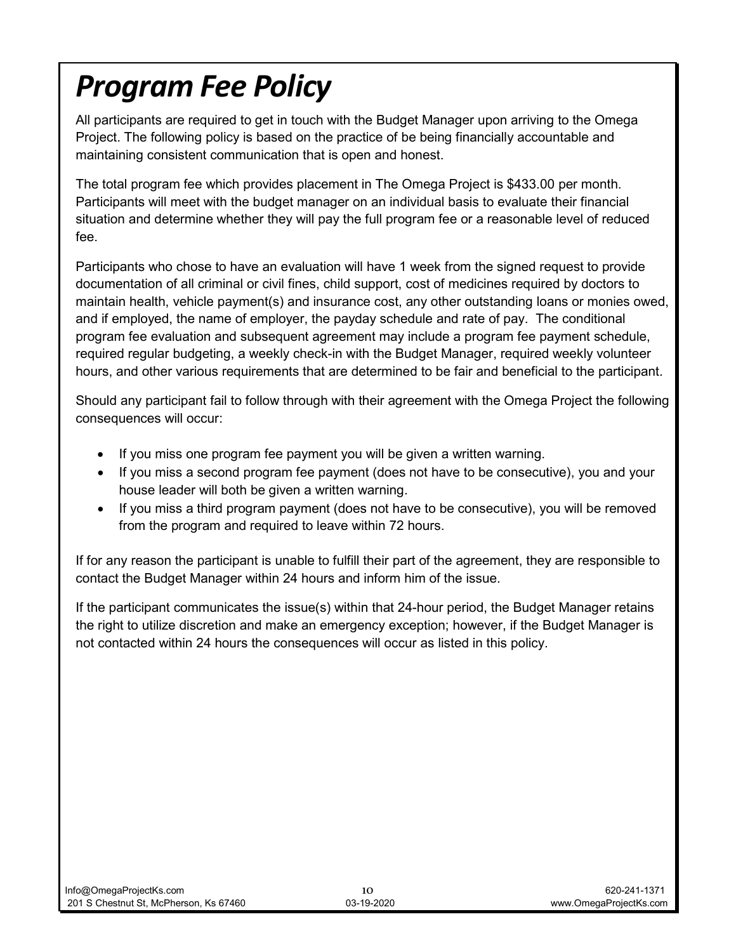# *Program Fee Policy*

All participants are required to get in touch with the Budget Manager upon arriving to the Omega Project. The following policy is based on the practice of be being financially accountable and maintaining consistent communication that is open and honest.

The total program fee which provides placement in The Omega Project is \$433.00 per month. Participants will meet with the budget manager on an individual basis to evaluate their financial situation and determine whether they will pay the full program fee or a reasonable level of reduced fee.

Participants who chose to have an evaluation will have 1 week from the signed request to provide documentation of all criminal or civil fines, child support, cost of medicines required by doctors to maintain health, vehicle payment(s) and insurance cost, any other outstanding loans or monies owed, and if employed, the name of employer, the payday schedule and rate of pay. The conditional program fee evaluation and subsequent agreement may include a program fee payment schedule, required regular budgeting, a weekly check-in with the Budget Manager, required weekly volunteer hours, and other various requirements that are determined to be fair and beneficial to the participant.

Should any participant fail to follow through with their agreement with the Omega Project the following consequences will occur:

- If you miss one program fee payment you will be given a written warning.
- If you miss a second program fee payment (does not have to be consecutive), you and your house leader will both be given a written warning.
- If you miss a third program payment (does not have to be consecutive), you will be removed from the program and required to leave within 72 hours.

If for any reason the participant is unable to fulfill their part of the agreement, they are responsible to contact the Budget Manager within 24 hours and inform him of the issue.

If the participant communicates the issue(s) within that 24-hour period, the Budget Manager retains the right to utilize discretion and make an emergency exception; however, if the Budget Manager is not contacted within 24 hours the consequences will occur as listed in this policy.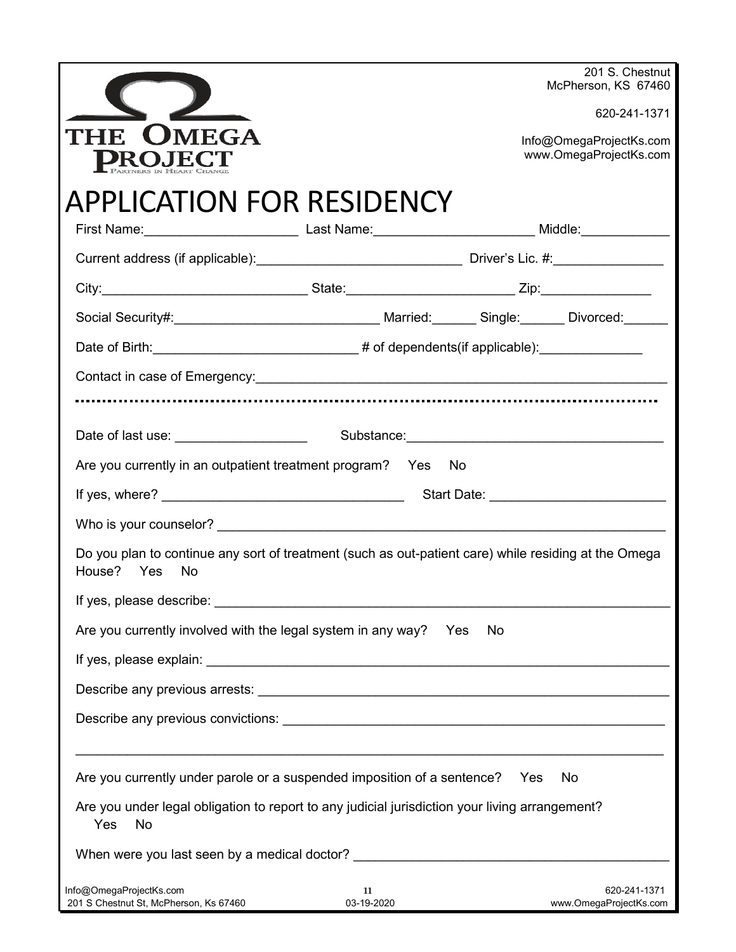|                                                                                                                                                                                                                                      |                  |     |    | 201 S. Chestnut                                   |
|--------------------------------------------------------------------------------------------------------------------------------------------------------------------------------------------------------------------------------------|------------------|-----|----|---------------------------------------------------|
|                                                                                                                                                                                                                                      |                  |     |    | McPherson, KS 67460                               |
|                                                                                                                                                                                                                                      |                  |     |    | 620-241-1371                                      |
| MEGA<br>. .                                                                                                                                                                                                                          |                  |     |    | Info@OmegaProjectKs.com<br>www.OmegaProjectKs.com |
| <b>APPLICATION FOR RESIDENCY</b>                                                                                                                                                                                                     |                  |     |    |                                                   |
|                                                                                                                                                                                                                                      |                  |     |    |                                                   |
|                                                                                                                                                                                                                                      |                  |     |    |                                                   |
|                                                                                                                                                                                                                                      |                  |     |    |                                                   |
| Social Security#: <u>Contract Contract Contract Contract Contract Contract Contract Contract Contract Contract Contract Contract Contract Contract Contract Contract Contract Contract Contract Contract Contract Contract Contr</u> |                  |     |    |                                                   |
| Date of Birth: ________________________________# of dependents(if applicable): _______________                                                                                                                                       |                  |     |    |                                                   |
|                                                                                                                                                                                                                                      |                  |     |    |                                                   |
|                                                                                                                                                                                                                                      |                  |     |    |                                                   |
|                                                                                                                                                                                                                                      |                  |     |    |                                                   |
| Are you currently in an outpatient treatment program? Yes No                                                                                                                                                                         |                  |     |    |                                                   |
|                                                                                                                                                                                                                                      |                  |     |    |                                                   |
|                                                                                                                                                                                                                                      |                  |     |    |                                                   |
| Do you plan to continue any sort of treatment (such as out-patient care) while residing at the Omega<br>House?<br>Yes<br>No                                                                                                          |                  |     |    |                                                   |
| If yes, please describe: and the state of the state of the state of the state of the state of the state of the state of the state of the state of the state of the state of the state of the state of the state of the state o       |                  |     |    |                                                   |
| Are you currently involved with the legal system in any way?                                                                                                                                                                         |                  | Yes | No |                                                   |
|                                                                                                                                                                                                                                      |                  |     |    |                                                   |
|                                                                                                                                                                                                                                      |                  |     |    |                                                   |
|                                                                                                                                                                                                                                      |                  |     |    |                                                   |
|                                                                                                                                                                                                                                      |                  |     |    |                                                   |
| Are you currently under parole or a suspended imposition of a sentence? Yes                                                                                                                                                          |                  |     |    | No                                                |
| Are you under legal obligation to report to any judicial jurisdiction your living arrangement?<br>Yes<br>No                                                                                                                          |                  |     |    |                                                   |
| When were you last seen by a medical doctor? ___________________________________                                                                                                                                                     |                  |     |    |                                                   |
| Info@OmegaProjectKs.com<br>201 S Chestnut St, McPherson, Ks 67460                                                                                                                                                                    | 11<br>03-19-2020 |     |    | 620-241-1371<br>www.OmegaProjectKs.com            |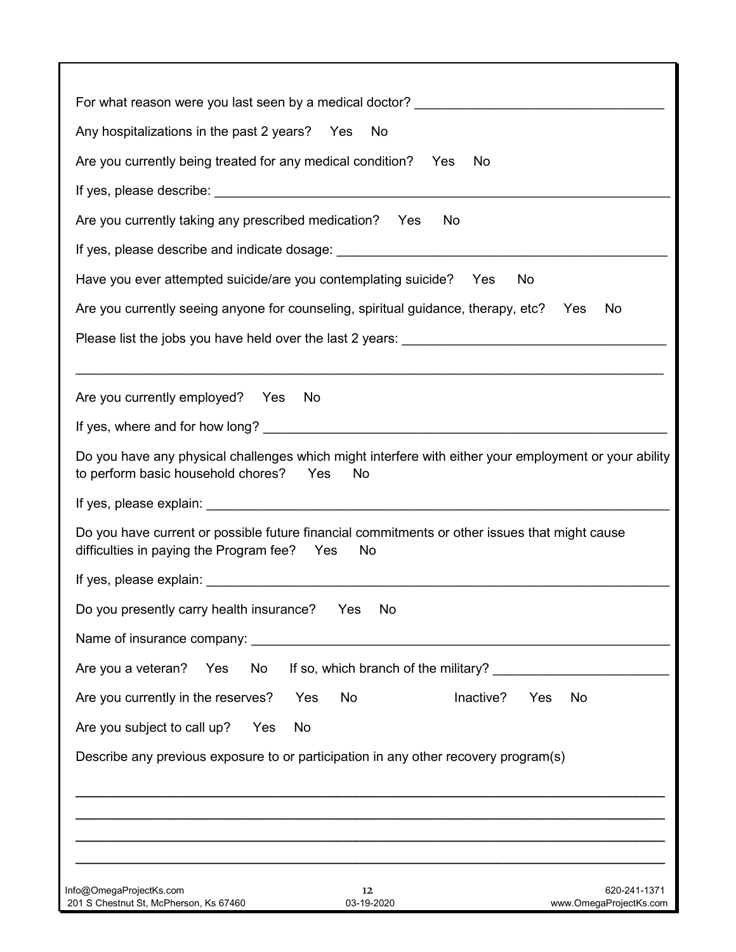| For what reason were you last seen by a medical doctor? _________________________                                                                                                                                              |
|--------------------------------------------------------------------------------------------------------------------------------------------------------------------------------------------------------------------------------|
| Any hospitalizations in the past 2 years? Yes<br>No                                                                                                                                                                            |
| Are you currently being treated for any medical condition?<br>Yes<br>No                                                                                                                                                        |
|                                                                                                                                                                                                                                |
| Are you currently taking any prescribed medication?<br>Yes<br>No                                                                                                                                                               |
|                                                                                                                                                                                                                                |
| If yes, please describe and indicate dosage: ___________________________________                                                                                                                                               |
| Have you ever attempted suicide/are you contemplating suicide? Yes<br>No                                                                                                                                                       |
| Are you currently seeing anyone for counseling, spiritual guidance, therapy, etc? Yes<br>No.                                                                                                                                   |
| Please list the jobs you have held over the last 2 years: _______________________                                                                                                                                              |
|                                                                                                                                                                                                                                |
| Are you currently employed? Yes<br>No                                                                                                                                                                                          |
|                                                                                                                                                                                                                                |
| Do you have any physical challenges which might interfere with either your employment or your ability<br>to perform basic household chores? Yes<br>No                                                                          |
|                                                                                                                                                                                                                                |
| Do you have current or possible future financial commitments or other issues that might cause<br>difficulties in paying the Program fee?<br>No<br>Yes                                                                          |
| If yes, please explain: The state of the state of the state of the state of the state of the state of the state of the state of the state of the state of the state of the state of the state of the state of the state of the |
| Do you presently carry health insurance? Yes<br>No                                                                                                                                                                             |
| Name of insurance company:                                                                                                                                                                                                     |
| Are you a veteran? Yes<br>If so, which branch of the military?<br>No                                                                                                                                                           |
| Are you currently in the reserves?<br>No<br>Inactive?<br>Yes<br>No<br>Yes                                                                                                                                                      |
| Are you subject to call up?<br>No<br>Yes                                                                                                                                                                                       |
| Describe any previous exposure to or participation in any other recovery program(s)                                                                                                                                            |
|                                                                                                                                                                                                                                |
|                                                                                                                                                                                                                                |
|                                                                                                                                                                                                                                |
|                                                                                                                                                                                                                                |
| Info@OmegaProjectKs.com<br>620-241-1371<br>12<br>201 S Chestnut St, McPherson, Ks 67460<br>03-19-2020<br>www.OmegaProjectKs.com                                                                                                |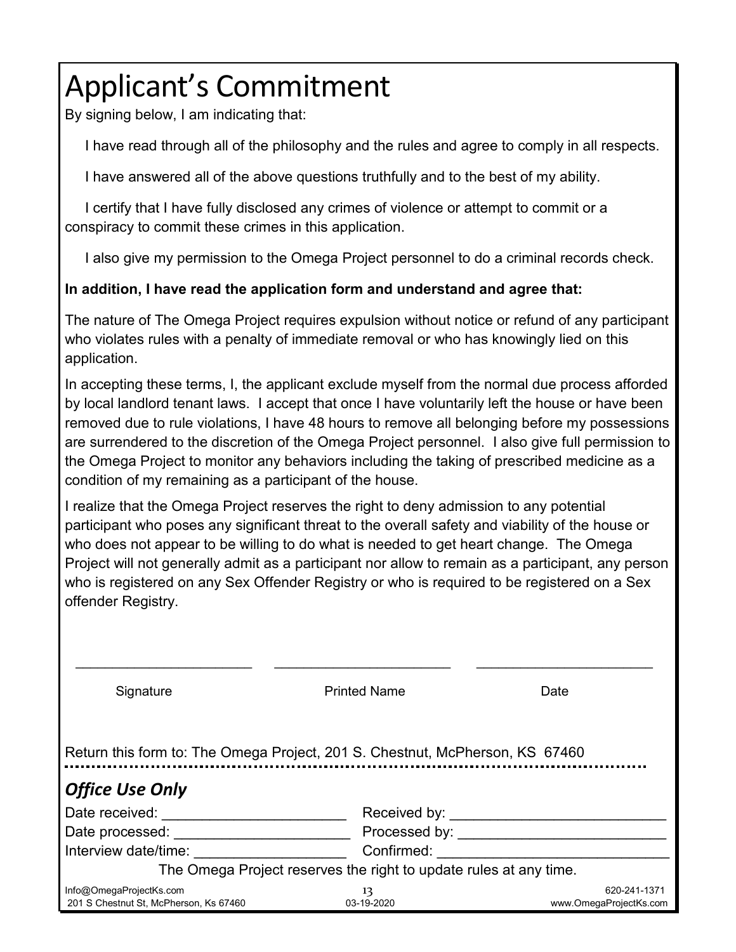# Applicant's Commitment

By signing below, I am indicating that:

I have read through all of the philosophy and the rules and agree to comply in all respects.

I have answered all of the above questions truthfully and to the best of my ability.

 I certify that I have fully disclosed any crimes of violence or attempt to commit or a conspiracy to commit these crimes in this application.

I also give my permission to the Omega Project personnel to do a criminal records check.

#### **In addition, I have read the application form and understand and agree that:**

The nature of The Omega Project requires expulsion without notice or refund of any participant who violates rules with a penalty of immediate removal or who has knowingly lied on this application.

In accepting these terms, I, the applicant exclude myself from the normal due process afforded by local landlord tenant laws. I accept that once I have voluntarily left the house or have been removed due to rule violations, I have 48 hours to remove all belonging before my possessions are surrendered to the discretion of the Omega Project personnel. I also give full permission to the Omega Project to monitor any behaviors including the taking of prescribed medicine as a condition of my remaining as a participant of the house.

I realize that the Omega Project reserves the right to deny admission to any potential participant who poses any significant threat to the overall safety and viability of the house or who does not appear to be willing to do what is needed to get heart change. The Omega Project will not generally admit as a participant nor allow to remain as a participant, any person who is registered on any Sex Offender Registry or who is required to be registered on a Sex offender Registry.

| Signature                                                                    | <b>Printed Name</b>                                               | Date                   |  |
|------------------------------------------------------------------------------|-------------------------------------------------------------------|------------------------|--|
| Return this form to: The Omega Project, 201 S. Chestnut, McPherson, KS 67460 |                                                                   |                        |  |
| <b>Office Use Only</b>                                                       |                                                                   |                        |  |
| Date received:                                                               | Received by:                                                      |                        |  |
| Date processed:                                                              | Processed by:                                                     |                        |  |
| Interview date/time:                                                         | Confirmed:                                                        |                        |  |
|                                                                              | The Omega Project reserves the right to update rules at any time. |                        |  |
| Info@OmegaProjectKs.com                                                      | 13                                                                | 620-241-1371           |  |
| 201 S Chestnut St, McPherson, Ks 67460                                       | 03-19-2020                                                        | www.OmegaProjectKs.com |  |
|                                                                              |                                                                   |                        |  |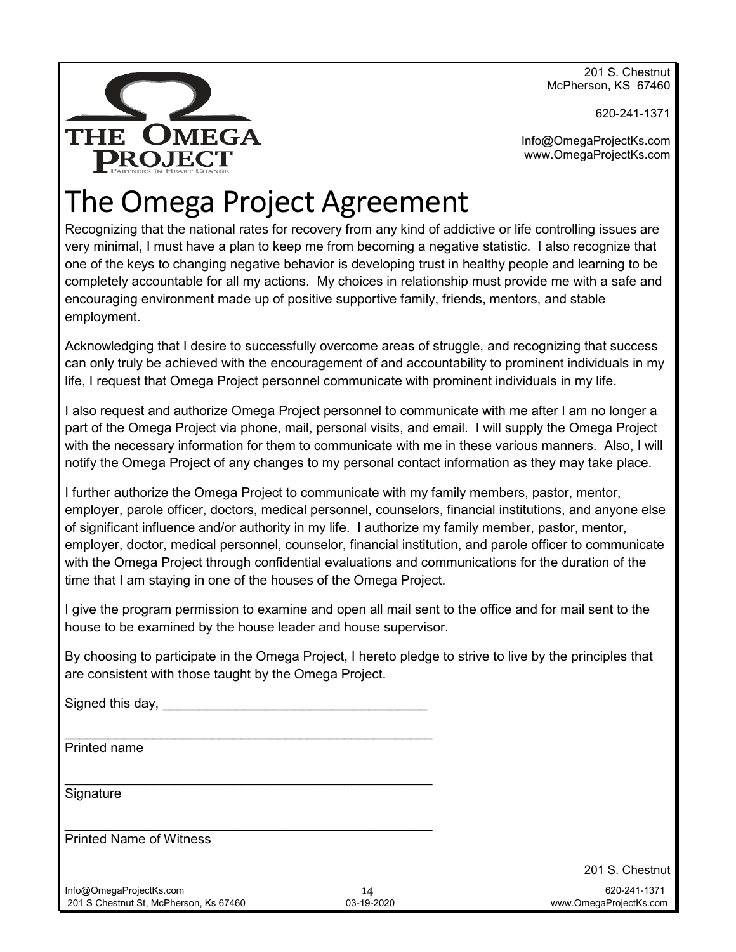201 S. Chestnut McPherson, KS 67460

620-241-1371

Info@OmegaProjectKs.com www.OmegaProjectKs.com

# The Omega Project Agreement

OMEGA

**PROJECT** 

**THE** 

Recognizing that the national rates for recovery from any kind of addictive or life controlling issues are very minimal, I must have a plan to keep me from becoming a negative statistic. I also recognize that one of the keys to changing negative behavior is developing trust in healthy people and learning to be completely accountable for all my actions. My choices in relationship must provide me with a safe and encouraging environment made up of positive supportive family, friends, mentors, and stable employment.

Acknowledging that I desire to successfully overcome areas of struggle, and recognizing that success can only truly be achieved with the encouragement of and accountability to prominent individuals in my life, I request that Omega Project personnel communicate with prominent individuals in my life.

I also request and authorize Omega Project personnel to communicate with me after I am no longer a part of the Omega Project via phone, mail, personal visits, and email. I will supply the Omega Project with the necessary information for them to communicate with me in these various manners. Also, I will notify the Omega Project of any changes to my personal contact information as they may take place.

I further authorize the Omega Project to communicate with my family members, pastor, mentor, employer, parole officer, doctors, medical personnel, counselors, financial institutions, and anyone else of significant influence and/or authority in my life. I authorize my family member, pastor, mentor, employer, doctor, medical personnel, counselor, financial institution, and parole officer to communicate with the Omega Project through confidential evaluations and communications for the duration of the time that I am staying in one of the houses of the Omega Project.

I give the program permission to examine and open all mail sent to the office and for mail sent to the house to be examined by the house leader and house supervisor.

By choosing to participate in the Omega Project, I hereto pledge to strive to live by the principles that are consistent with those taught by the Omega Project.

| Signed this day, ____                                             |                  |                                        |
|-------------------------------------------------------------------|------------------|----------------------------------------|
| Printed name                                                      |                  |                                        |
| Signature                                                         |                  |                                        |
| <b>Printed Name of Witness</b>                                    |                  |                                        |
|                                                                   |                  | 201 S. Chestnut                        |
| Info@OmegaProjectKs.com<br>201 S Chestnut St, McPherson, Ks 67460 | 14<br>03-19-2020 | 620-241-1371<br>www.OmegaProjectKs.com |